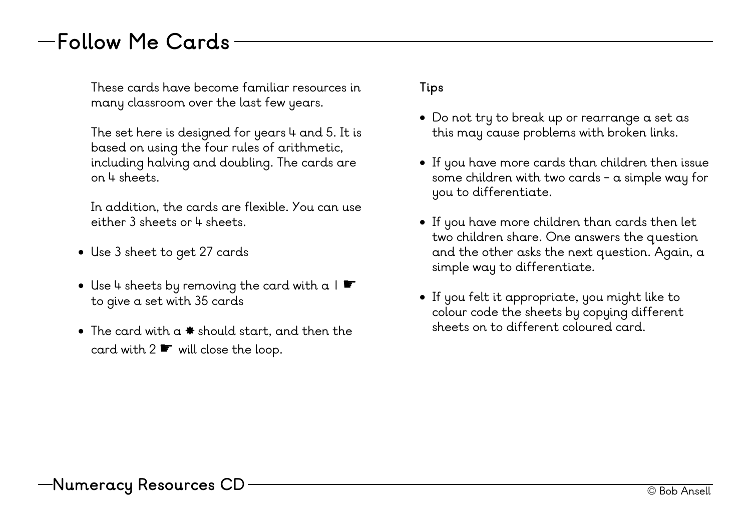## **Follow Me Cards**

These cards have become familiar resources in many classroom over the last few years.

The set here is designed for years  $4$  and 5. It is based on using the four rules of arithmetic, including halving and doubling. The cards are on 4 sheets.

In addition, the cards are flexible. You can use either 3 sheets or 4 sheets.

- Use 3 sheet to get 27 cards
- Use 4 sheets by removing the card with  $a \mid \clubsuit$ to give a set with 35 cards
- The card with a ✸ should start, and then the card with 2 <sup>★</sup> will close the loop.

## **Tips**

- Do not try to break up or rearrange a set as this may cause problems with broken links.
- If you have more cards than children then issue some children with two cards - a simple way for you to differentiate.
- If you have more children than cards then let two children share. One answers the question and the other asks the next question. Again, a simple way to differentiate.
- If you felt it appropriate, you might like to colour code the sheets by copying different sheets on to different coloured card.

—Numeracy Resources CD ———————————————————————————— © Bob Ansell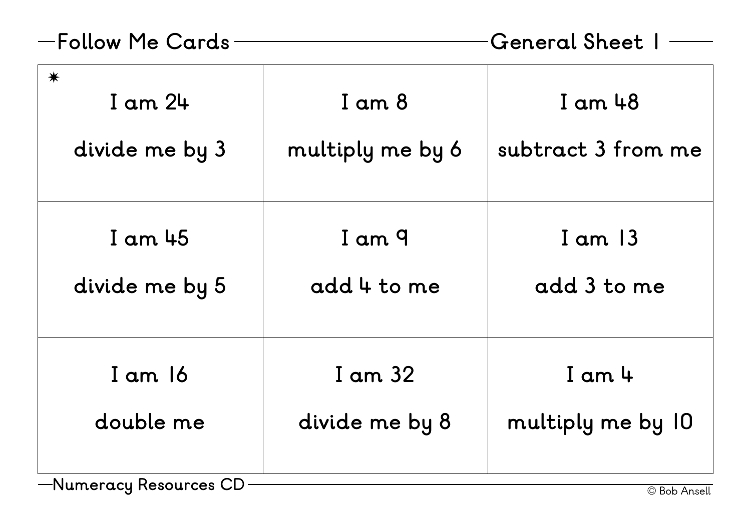| -Follow Me Cards                            |                                | General Sheet I                   |
|---------------------------------------------|--------------------------------|-----------------------------------|
| $\bigstar$<br>$I$ am $24$<br>divide me by 3 | $I$ am $8$<br>multiply me by 6 | $I$ am $48$<br>subtract 3 from me |
| $I$ am $45$<br>divide me by 5               | I am 9<br>add 4 to me          | $I$ am $13$<br>add 3 to me        |
| $I$ am $16$<br>double me                    | I am 32<br>divide me by 8      | $I$ am $4$<br>multiply me by 10   |
| -Numeracy Resources CD                      |                                | © Bob Ansell                      |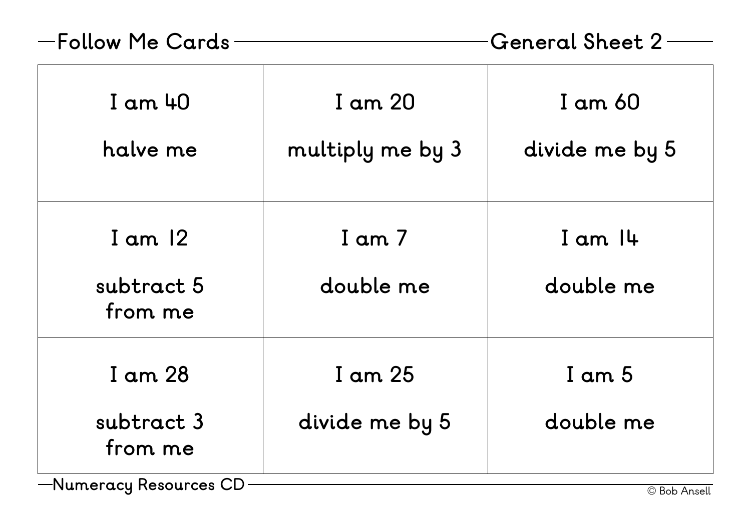| -Follow Me Cards                   |                             | <b>General Sheet 2</b>    |
|------------------------------------|-----------------------------|---------------------------|
| $I$ am $40$<br>halve me            | I am 20<br>multiply me by 3 | I am 60<br>divide me by 5 |
| I am $12$<br>subtract 5<br>from me | $I$ am $7$<br>double me     | $I$ am $I$ 4<br>double me |
| I am 28<br>subtract 3<br>from me   | I am 25<br>divide me by 5   | $I$ am $5$<br>double me   |
| —Numeracy Resources CD             |                             | © Bob Ansell              |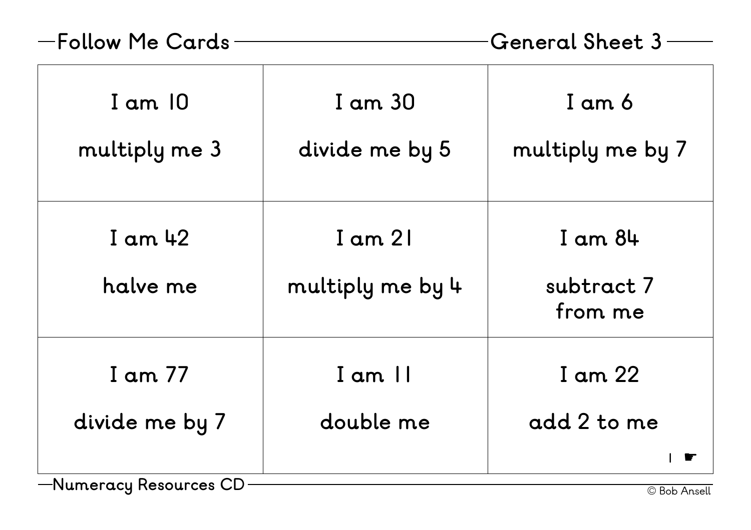| -Follow Me Cards                    | <b>General Sheet 3</b>          |                                      |
|-------------------------------------|---------------------------------|--------------------------------------|
| $I$ am $10$<br>multiply me 3        | I am 30<br>divide me by 5       | I am 6<br>multiply me by 7           |
| $I$ am $42$<br>halve me             | $I$ am $2I$<br>multiply me by 4 | $I$ am $84$<br>subtract 7<br>from me |
| I am 77<br>divide me by 7<br>$\cap$ | $I$ am $II$<br>double me        | I am 22<br>add 2 to me               |